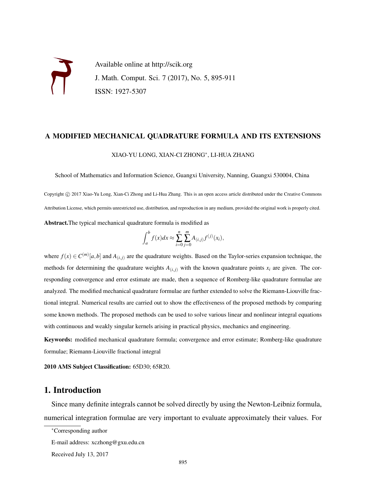Available online at http://scik.org J. Math. Comput. Sci. 7 (2017), No. 5, 895-911 ISSN: 1927-5307

# A MODIFIED MECHANICAL QUADRATURE FORMULA AND ITS EXTENSIONS

#### XIAO-YU LONG, XIAN-CI ZHONG<sup>∗</sup> , LI-HUA ZHANG

School of Mathematics and Information Science, Guangxi University, Nanning, Guangxi 530004, China

Copyright © 2017 Xiao-Yu Long, Xian-Ci Zhong and Li-Hua Zhang. This is an open access article distributed under the Creative Commons Attribution License, which permits unrestricted use, distribution, and reproduction in any medium, provided the original work is properly cited. Abstract.The typical mechanical quadrature formula is modified as

$$
\int_{a}^{b} f(x)dx \approx \sum_{i=0}^{n} \sum_{j=0}^{m} A_{(i,j)} f^{(j)}(x_i),
$$

where  $f(x) \in C^{(m)}[a,b]$  and  $A_{(i,j)}$  are the quadrature weights. Based on the Taylor-series expansion technique, the methods for determining the quadrature weights  $A_{(i,j)}$  with the known quadrature points  $x_i$  are given. The corresponding convergence and error estimate are made, then a sequence of Romberg-like quadrature formulae are analyzed. The modified mechanical quadrature formulae are further extended to solve the Riemann-Liouville fractional integral. Numerical results are carried out to show the effectiveness of the proposed methods by comparing some known methods. The proposed methods can be used to solve various linear and nonlinear integral equations with continuous and weakly singular kernels arising in practical physics, mechanics and engineering.

Keywords: modified mechanical quadrature formula; convergence and error estimate; Romberg-like quadrature formulae; Riemann-Liouville fractional integral

2010 AMS Subject Classification: 65D30; 65R20.

## 1. Introduction

Since many definite integrals cannot be solved directly by using the Newton-Leibniz formula, numerical integration formulae are very important to evaluate approximately their values. For

Received July 13, 2017

<sup>∗</sup>Corresponding author

E-mail address: xczhong@gxu.edu.cn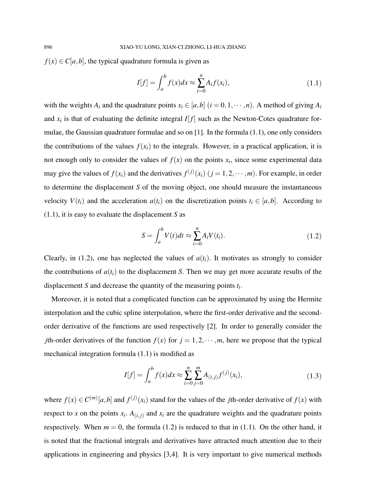$f(x) \in C[a, b]$ , the typical quadrature formula is given as

$$
I[f] = \int_{a}^{b} f(x)dx \approx \sum_{i=0}^{n} A_{i}f(x_{i}),
$$
\n(1.1)

with the weights  $A_i$  and the quadrature points  $x_i \in [a, b]$  ( $i = 0, 1, \dots, n$ ). A method of giving  $A_i$ and  $x_i$  is that of evaluating the definite integral  $I[f]$  such as the Newton-Cotes quadrature formulae, the Gaussian quadrature formulae and so on  $[1]$ . In the formula  $(1.1)$ , one only considers the contributions of the values  $f(x_i)$  to the integrals. However, in a practical application, it is not enough only to consider the values of  $f(x)$  on the points  $x_i$ , since some experimental data may give the values of  $f(x_i)$  and the derivatives  $f^{(j)}(x_i)$   $(j = 1, 2, \dots, m)$ . For example, in order to determine the displacement *S* of the moving object, one should measure the instantaneous velocity  $V(t_i)$  and the acceleration  $a(t_i)$  on the discretization points  $t_i \in [a, b]$ . According to (1.1), it is easy to evaluate the displacement *S* as

$$
S = \int_{a}^{b} V(t)dt \approx \sum_{i=0}^{n} A_i V(t_i). \tag{1.2}
$$

Clearly, in (1.2), one has neglected the values of  $a(t_i)$ . It motivates us strongly to consider the contributions of  $a(t_i)$  to the displacement *S*. Then we may get more accurate results of the displacement *S* and decrease the quantity of the measuring points *t<sup>i</sup>* .

Moreover, it is noted that a complicated function can be approximated by using the Hermite interpolation and the cubic spline interpolation, where the first-order derivative and the secondorder derivative of the functions are used respectively [2]. In order to generally consider the *j*th-order derivatives of the function  $f(x)$  for  $j = 1, 2, \dots, m$ , here we propose that the typical mechanical integration formula (1.1) is modified as

$$
I[f] = \int_{a}^{b} f(x)dx \approx \sum_{i=0}^{n} \sum_{j=0}^{m} A_{(i,j)} f^{(j)}(x_i),
$$
\n(1.3)

where  $f(x) \in C^{(m)}[a,b]$  and  $f^{(j)}(x_i)$  stand for the values of the *j*th-order derivative of  $f(x)$  with respect to *x* on the points  $x_i$ .  $A_{(i,j)}$  and  $x_i$  are the quadrature weights and the quadrature points respectively. When  $m = 0$ , the formula (1.2) is reduced to that in (1.1). On the other hand, it is noted that the fractional integrals and derivatives have attracted much attention due to their applications in engineering and physics [3,4]. It is very important to give numerical methods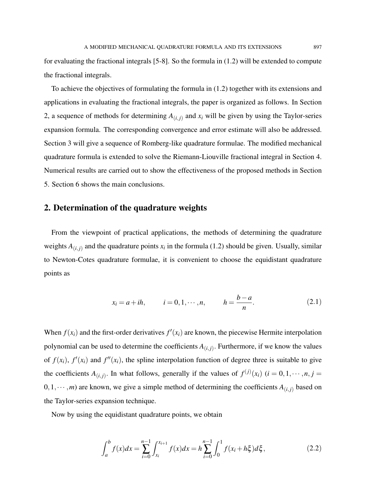for evaluating the fractional integrals [5-8]. So the formula in (1.2) will be extended to compute the fractional integrals.

To achieve the objectives of formulating the formula in (1.2) together with its extensions and applications in evaluating the fractional integrals, the paper is organized as follows. In Section 2, a sequence of methods for determining  $A_{(i,j)}$  and  $x_i$  will be given by using the Taylor-series expansion formula. The corresponding convergence and error estimate will also be addressed. Section 3 will give a sequence of Romberg-like quadrature formulae. The modified mechanical quadrature formula is extended to solve the Riemann-Liouville fractional integral in Section 4. Numerical results are carried out to show the effectiveness of the proposed methods in Section 5. Section 6 shows the main conclusions.

### 2. Determination of the quadrature weights

From the viewpoint of practical applications, the methods of determining the quadrature weights  $A_{(i,j)}$  and the quadrature points  $x_i$  in the formula (1.2) should be given. Usually, similar to Newton-Cotes quadrature formulae, it is convenient to choose the equidistant quadrature points as

$$
x_i = a + ih,
$$
  $i = 0, 1, \dots, n,$   $h = \frac{b-a}{n}.$  (2.1)

When  $f(x_i)$  and the first-order derivatives  $f'(x_i)$  are known, the piecewise Hermite interpolation polynomial can be used to determine the coefficients  $A_{(i,j)}$ . Furthermore, if we know the values of  $f(x_i)$ ,  $f'(x_i)$  and  $f''(x_i)$ , the spline interpolation function of degree three is suitable to give the coefficients  $A_{(i,j)}$ . In what follows, generally if the values of  $f^{(j)}(x_i)$  ( $i = 0, 1, \dots, n, j =$  $0,1,\dots,m$ ) are known, we give a simple method of determining the coefficients  $A_{(i,j)}$  based on the Taylor-series expansion technique.

Now by using the equidistant quadrature points, we obtain

$$
\int_{a}^{b} f(x)dx = \sum_{i=0}^{n-1} \int_{x_i}^{x_{i+1}} f(x)dx = h \sum_{i=0}^{n-1} \int_{0}^{1} f(x_i + h\xi) d\xi,
$$
 (2.2)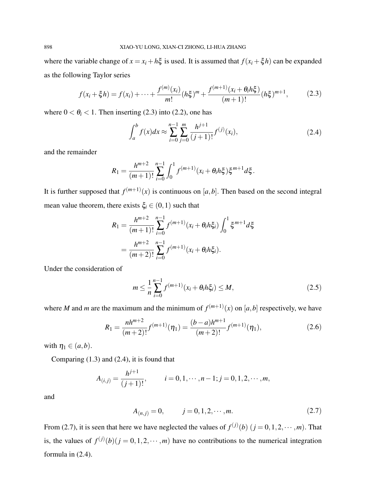where the variable change of  $x = x_i + h\xi$  is used. It is assumed that  $f(x_i + \xi h)$  can be expanded as the following Taylor series

$$
f(x_i + \xi h) = f(x_i) + \dots + \frac{f^{(m)}(x_i)}{m!} (h\xi)^m + \frac{f^{(m+1)}(x_i + \theta_i h\xi)}{(m+1)!} (h\xi)^{m+1},
$$
 (2.3)

where  $0 < \theta_i < 1$ . Then inserting (2.3) into (2.2), one has

$$
\int_{a}^{b} f(x)dx \approx \sum_{i=0}^{n-1} \sum_{j=0}^{m} \frac{h^{j+1}}{(j+1)!} f^{(j)}(x_i),\tag{2.4}
$$

and the remainder

$$
R_1 = \frac{h^{m+2}}{(m+1)!} \sum_{i=0}^{n-1} \int_0^1 f^{(m+1)}(x_i + \theta_i h \xi) \xi^{m+1} d\xi.
$$

It is further supposed that  $f^{(m+1)}(x)$  is continuous on [a, b]. Then based on the second integral mean value theorem, there exists  $\xi_i \in (0,1)$  such that

$$
R_1 = \frac{h^{m+2}}{(m+1)!} \sum_{i=0}^{n-1} f^{(m+1)}(x_i + \theta_i h \xi_i) \int_0^1 \xi^{m+1} d\xi
$$
  
= 
$$
\frac{h^{m+2}}{(m+2)!} \sum_{i=0}^{n-1} f^{(m+1)}(x_i + \theta_i h \xi_i).
$$

Under the consideration of

$$
m \le \frac{1}{n} \sum_{i=0}^{n-1} f^{(m+1)}(x_i + \theta_i h \xi_i) \le M,
$$
\n(2.5)

where *M* and *m* are the maximum and the minimum of  $f^{(m+1)}(x)$  on [a, b] respectively, we have

$$
R_1 = \frac{nh^{m+2}}{(m+2)!} f^{(m+1)}(\eta_1) = \frac{(b-a)h^{m+1}}{(m+2)!} f^{(m+1)}(\eta_1),
$$
\n(2.6)

with  $\eta_1 \in (a,b)$ .

Comparing (1.3) and (2.4), it is found that

$$
A_{(i,j)} = \frac{h^{j+1}}{(j+1)!}, \qquad i = 0, 1, \cdots, n-1; j = 0, 1, 2, \cdots, m,
$$

and

$$
A_{(n,j)} = 0, \t j = 0, 1, 2, \cdots, m.
$$
\t(2.7)

From (2.7), it is seen that here we have neglected the values of  $f^{(j)}(b)$   $(j = 0, 1, 2, \dots, m)$ . That is, the values of  $f^{(j)}(b)$  ( $j = 0, 1, 2, \dots, m$ ) have no contributions to the numerical integration formula in (2.4).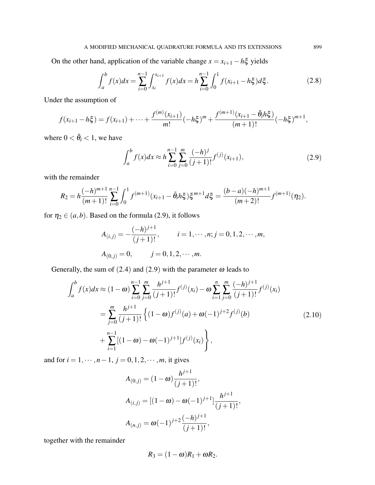On the other hand, application of the variable change  $x = x_{i+1} - h\xi$  yields

$$
\int_{a}^{b} f(x)dx = \sum_{i=0}^{n-1} \int_{x_i}^{x_{i+1}} f(x)dx = h \sum_{i=0}^{n-1} \int_{0}^{1} f(x_{i+1} - h\xi) d\xi.
$$
 (2.8)

Under the assumption of

$$
f(x_{i+1}-h\xi)=f(x_{i+1})+\cdots+\frac{f^{(m)}(x_{i+1})}{m!}(-h\xi)^m+\frac{f^{(m+1)}(x_{i+1}-\bar{\theta}_i h\xi)}{(m+1)!}(-h\xi)^{m+1},
$$

where  $0 < \bar{\theta}_i < 1$ , we have

$$
\int_{a}^{b} f(x)dx \approx h \sum_{i=0}^{n-1} \sum_{j=0}^{m} \frac{(-h)^{j}}{(j+1)!} f^{(j)}(x_{i+1}),
$$
\n(2.9)

with the remainder

$$
R_2 = h \frac{(-h)^{m+1}}{(m+1)!} \sum_{i=0}^{n-1} \int_0^1 f^{(m+1)}(x_{i+1} - \bar{\theta}_i h \xi) \xi^{m+1} d\xi = \frac{(b-a)(-h)^{m+1}}{(m+2)!} f^{(m+1)}(\eta_2).
$$

for  $\eta_2 \in (a, b)$ . Based on the formula (2.9), it follows

$$
A_{(i,j)} = -\frac{(-h)^{j+1}}{(j+1)!}, \qquad i = 1, \cdots, n; j = 0, 1, 2, \cdots, m,
$$
  

$$
A_{(0,j)} = 0, \qquad j = 0, 1, 2, \cdots, m.
$$

Generally, the sum of (2.4) and (2.9) with the parameter  $\omega$  leads to

$$
\int_{a}^{b} f(x)dx \approx (1 - \omega) \sum_{i=0}^{n-1} \sum_{j=0}^{m} \frac{h^{j+1}}{(j+1)!} f^{(j)}(x_i) - \omega \sum_{i=1}^{n} \sum_{j=0}^{m} \frac{(-h)^{j+1}}{(j+1)!} f^{(j)}(x_i)
$$
  

$$
= \sum_{j=0}^{m} \frac{h^{j+1}}{(j+1)!} \left\{ (1 - \omega) f^{(j)}(a) + \omega (-1)^{j+2} f^{(j)}(b) + \sum_{i=1}^{n-1} [(1 - \omega) - \omega (-1)^{i+1}] f^{(j)}(x_i) \right\},
$$
(2.10)

and for  $i = 1, \dots, n - 1, j = 0, 1, 2, \dots, m$ , it gives

$$
A_{(0,j)} = (1 - \omega) \frac{h^{j+1}}{(j+1)!},
$$
  
\n
$$
A_{(i,j)} = [(1 - \omega) - \omega (-1)^{j+1}] \frac{h^{j+1}}{(j+1)!},
$$
  
\n
$$
A_{(n,j)} = \omega (-1)^{j+2} \frac{(-h)^{j+1}}{(j+1)!},
$$

together with the remainder

$$
R_3=(1-\omega)R_1+\omega R_2.
$$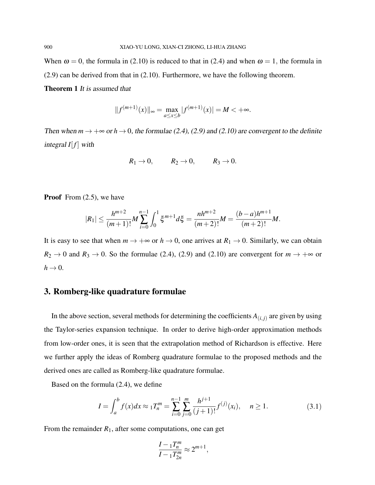When  $\omega = 0$ , the formula in (2.10) is reduced to that in (2.4) and when  $\omega = 1$ , the formula in (2.9) can be derived from that in (2.10). Furthermore, we have the following theorem.

Theorem 1 It is assumed that

$$
||f^{(m+1)}(x)||_{\infty} = \max_{a \le x \le b} |f^{(m+1)}(x)| = M < +\infty.
$$

Then when  $m \to +\infty$  or  $h \to 0$ , the formulae (2.4), (2.9) and (2.10) are convergent to the definite integral  $I[f]$  with

$$
R_1 \to 0, \qquad R_2 \to 0, \qquad R_3 \to 0.
$$

**Proof** From  $(2.5)$ , we have

$$
|R_1| \leq \frac{h^{m+2}}{(m+1)!} M \sum_{i=0}^{n-1} \int_0^1 \xi^{m+1} d\xi = \frac{nh^{m+2}}{(m+2)!} M = \frac{(b-a)h^{m+1}}{(m+2)!} M.
$$

It is easy to see that when  $m \to +\infty$  or  $h \to 0$ , one arrives at  $R_1 \to 0$ . Similarly, we can obtain  $R_2 \rightarrow 0$  and  $R_3 \rightarrow 0$ . So the formulae (2.4), (2.9) and (2.10) are convergent for  $m \rightarrow +\infty$  or  $h \rightarrow 0$ .

## 3. Romberg-like quadrature formulae

In the above section, several methods for determining the coefficients  $A_{(i,j)}$  are given by using the Taylor-series expansion technique. In order to derive high-order approximation methods from low-order ones, it is seen that the extrapolation method of Richardson is effective. Here we further apply the ideas of Romberg quadrature formulae to the proposed methods and the derived ones are called as Romberg-like quadrature formulae.

Based on the formula (2.4), we define

$$
I = \int_{a}^{b} f(x)dx \approx {}_{1}T_{n}^{m} = \sum_{i=0}^{n-1} \sum_{j=0}^{m} \frac{h^{j+1}}{(j+1)!} f^{(j)}(x_{i}), \quad n \ge 1.
$$
 (3.1)

From the remainder  $R_1$ , after some computations, one can get

$$
\frac{I-1T_n^m}{I-1T_{2n}^m} \approx 2^{m+1},
$$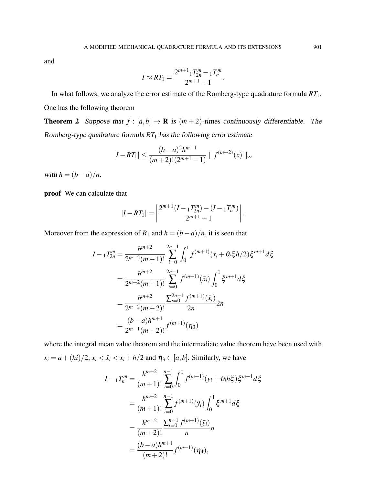and

$$
I \approx RT_1 = \frac{2^{m+1} 1 T_{2n}^m - 1 T_n^m}{2^{m+1} - 1}.
$$

In what follows, we analyze the error estimate of the Romberg-type quadrature formula *RT*1. One has the following theorem

**Theorem 2** Suppose that  $f : [a,b] \to \mathbf{R}$  is  $(m+2)$ -times continuously differentiable. The Romberg-type quadrature formula *RT*<sup>1</sup> has the following error estimate

$$
|I - RT_1| \le \frac{(b-a)^2 h^{m+1}}{(m+2)!(2^{m+1}-1)} \| f^{(m+2)}(x) \|_{\infty}
$$

with  $h = (b - a)/n$ .

proof We can calculate that

$$
|I - RT_1| = \left| \frac{2^{m+1} (I - T_{2n}^m) - (I - T_n^m)}{2^{m+1} - 1} \right|.
$$

Moreover from the expression of  $R_1$  and  $h = (b - a)/n$ , it is seen that

$$
I - {}_{1}T_{2n}^{m} = \frac{h^{m+2}}{2^{m+2}(m+1)!} \sum_{i=0}^{2n-1} \int_{0}^{1} f^{(m+1)}(x_{i} + \theta_{i} \xi h/2) \xi^{m+1} d\xi
$$
  

$$
= \frac{h^{m+2}}{2^{m+2}(m+1)!} \sum_{i=0}^{2n-1} f^{(m+1)}(\bar{x}_{i}) \int_{0}^{1} \xi^{m+1} d\xi
$$
  

$$
= \frac{h^{m+2}}{2^{m+2}(m+2)!} \frac{\sum_{i=0}^{2n-1} f^{(m+1)}(\bar{x}_{i})}{2n} 2n
$$
  

$$
= \frac{(b-a)h^{m+1}}{2^{m+1}(m+2)!} f^{(m+1)}(\eta_{3})
$$

where the integral mean value theorem and the intermediate value theorem have been used with  $x_i = a + (hi)/2$ ,  $x_i < \bar{x}_i < x_i + h/2$  and  $\eta_3 \in [a, b]$ . Similarly, we have

$$
I - {}_1T_n^m = \frac{h^{m+2}}{(m+1)!} \sum_{i=0}^{n-1} \int_0^1 f^{(m+1)}(y_i + \vartheta_i h \xi) \xi^{m+1} d\xi
$$
  

$$
= \frac{h^{m+2}}{(m+1)!} \sum_{i=0}^{n-1} f^{(m+1)}(\tilde{y}_i) \int_0^1 \xi^{m+1} d\xi
$$
  

$$
= \frac{h^{m+2}}{(m+2)!} \frac{\sum_{i=0}^{n-1} f^{(m+1)}(\tilde{y}_i)}{n} n
$$
  

$$
= \frac{(b-a)h^{m+1}}{(m+2)!} f^{(m+1)}(\eta_4),
$$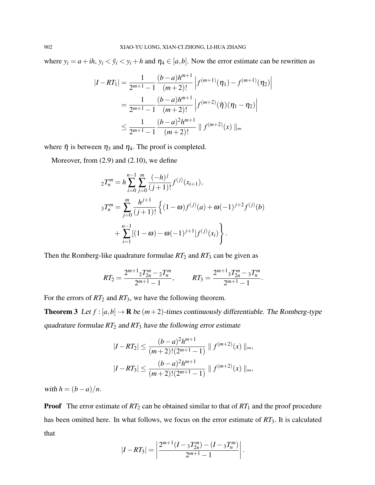where  $y_i = a + ih$ ,  $y_i < \tilde{y}_i < y_i + h$  and  $\eta_4 \in [a, b]$ . Now the error estimate can be rewritten as

$$
|I - RT_1| = \frac{1}{2^{m+1} - 1} \frac{(b-a)h^{m+1}}{(m+2)!} \left| f^{(m+1)}(\eta_1) - f^{(m+1)}(\eta_2) \right|
$$
  
= 
$$
\frac{1}{2^{m+1} - 1} \frac{(b-a)h^{m+1}}{(m+2)!} \left| f^{(m+2)}(\bar{\eta})(\eta_1 - \eta_2) \right|
$$
  

$$
\leq \frac{1}{2^{m+1} - 1} \frac{(b-a)^2h^{m+1}}{(m+2)!} \| f^{(m+2)}(x) \|_{\infty}
$$

where  $\bar{\eta}$  is between  $\eta_3$  and  $\eta_4$ . The proof is completed.

Moreover, from (2.9) and (2.10), we define

$$
{}_{2}T_{n}^{m} = h \sum_{i=0}^{n-1} \sum_{j=0}^{m} \frac{(-h)^{j}}{(j+1)!} f^{(j)}(x_{i+1}),
$$
  
\n
$$
{}_{3}T_{n}^{m} = \sum_{j=0}^{m} \frac{h^{j+1}}{(j+1)!} \left\{ (1-\omega) f^{(j)}(a) + \omega (-1)^{j+2} f^{(j)}(b) + \sum_{i=1}^{n-1} [(1-\omega) - \omega (-1)^{j+1}] f^{(j)}(x_{i}) \right\}.
$$

Then the Romberg-like quadrature formulae  $RT_2$  and  $RT_3$  can be given as

$$
RT_2 = \frac{2^{m+1}2T_{2n}^m - 2T_n^m}{2^{m+1} - 1}, \qquad RT_3 = \frac{2^{m+1}3T_{2n}^m - 3T_n^m}{2^{m+1} - 1}.
$$

For the errors of  $RT_2$  and  $RT_3$ , we have the following theorem.

**Theorem 3** Let  $f : [a,b] \to \mathbf{R}$  be  $(m+2)$ -times continuously differentiable. The Romberg-type quadrature formulae *RT*<sup>2</sup> and *RT*<sup>3</sup> have the following error estimate

$$
|I - RT_2| \le \frac{(b-a)^2 h^{m+1}}{(m+2)!(2^{m+1}-1)} \| f^{(m+2)}(x) \|_{\infty},
$$
  

$$
|I - RT_3| \le \frac{(b-a)^2 h^{m+1}}{(m+2)!(2^{m+1}-1)} \| f^{(m+2)}(x) \|_{\infty},
$$

with  $h = (b - a)/n$ .

**Proof** The error estimate of  $RT_2$  can be obtained similar to that of  $RT_1$  and the proof procedure has been omitted here. In what follows, we focus on the error estimate of *RT*3. It is calculated that

$$
|I - RT_3| = \left| \frac{2^{m+1} (I - 3T_{2n}^m) - (I - 3T_n^m)}{2^{m+1} - 1} \right|.
$$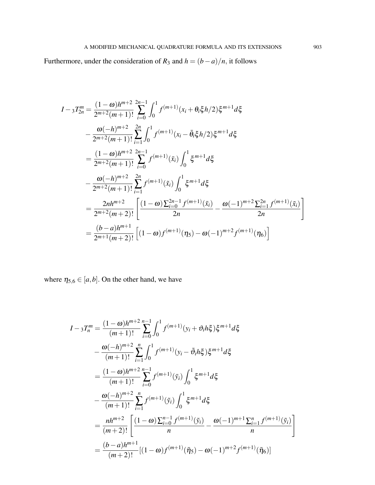Furthermore, under the consideration of  $R_3$  and  $h = (b - a)/n$ , it follows

$$
I - 3T_{2n}^{m} = \frac{(1 - \omega)h^{m+2}}{2^{m+2}(m+1)!} \sum_{i=0}^{2n-1} \int_{0}^{1} f^{(m+1)}(x_{i} + \theta_{i}\xi h/2) \xi^{m+1} d\xi
$$
  
\n
$$
- \frac{\omega(-h)^{m+2}}{2^{m+2}(m+1)!} \sum_{i=1}^{2n} \int_{0}^{1} f^{(m+1)}(x_{i} - \bar{\theta}_{i}\xi h/2) \xi^{m+1} d\xi
$$
  
\n
$$
= \frac{(1 - \omega)h^{m+2}}{2^{m+2}(m+1)!} \sum_{i=0}^{2n-1} f^{(m+1)}(\bar{x}_{i}) \int_{0}^{1} \xi^{m+1} d\xi
$$
  
\n
$$
- \frac{\omega(-h)^{m+2}}{2^{m+2}(m+1)!} \sum_{i=1}^{2n} f^{(m+1)}(\tilde{x}_{i}) \int_{0}^{1} \xi^{m+1} d\xi
$$
  
\n
$$
= \frac{2nh^{m+2}}{2^{m+2}(m+2)!} \left[ \frac{(1 - \omega) \sum_{i=0}^{2n-1} f^{(m+1)}(\bar{x}_{i})}{2n} - \frac{\omega(-1)^{m+2} \sum_{i=1}^{2n} f^{(m+1)}(\tilde{x}_{i})}{2n} \right]
$$
  
\n
$$
= \frac{(b - a)h^{m+1}}{2^{m+1}(m+2)!} \left[ (1 - \omega) f^{(m+1)}(\eta_{5}) - \omega(-1)^{m+2} f^{(m+1)}(\eta_{6}) \right]
$$

where  $\eta_{5,6} \in [a,b]$ . On the other hand, we have

$$
I - 3T_n^m = \frac{(1 - \omega)h^{m+2}}{(m+1)!} \sum_{i=0}^{n-1} \int_0^1 f^{(m+1)}(y_i + \vartheta_i h \xi) \xi^{m+1} d\xi
$$
  
\n
$$
- \frac{\omega(-h)^{m+2}}{(m+1)!} \sum_{i=1}^n \int_0^1 f^{(m+1)}(y_i - \bar{\vartheta}_i h \xi) \xi^{m+1} d\xi
$$
  
\n
$$
= \frac{(1 - \omega)h^{m+2}}{(m+1)!} \sum_{i=0}^{n-1} f^{(m+1)}(\bar{y}_i) \int_0^1 \xi^{m+1} d\xi
$$
  
\n
$$
- \frac{\omega(-h)^{m+2}}{(m+1)!} \sum_{i=1}^n f^{(m+1)}(\tilde{y}_i) \int_0^1 \xi^{m+1} d\xi
$$
  
\n
$$
= \frac{nh^{m+2}}{(m+2)!} \left[ \frac{(1 - \omega) \sum_{i=0}^{n-1} f^{(m+1)}(\tilde{y}_i)}{n} - \frac{\omega(-1)^{m+1} \sum_{i=1}^n f^{(m+1)}(\tilde{y}_i)}{n} \right]
$$
  
\n
$$
= \frac{(b - a)h^{m+1}}{(m+2)!} [(1 - \omega) f^{(m+1)}(\bar{\eta}_5) - \omega(-1)^{m+2} f^{(m+1)}(\bar{\eta}_6)]
$$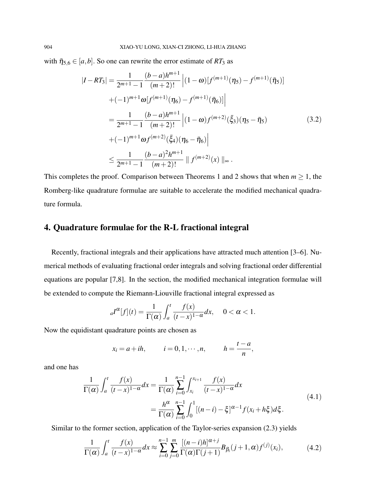with  $\bar{\eta}_{5,6} \in [a,b]$ . So one can rewrite the error estimate of *RT*<sub>3</sub> as

$$
|I - RT_3| = \frac{1}{2^{m+1} - 1} \frac{(b-a)h^{m+1}}{(m+2)!} \left| (1 - \omega) [f^{(m+1)}(\eta_5) - f^{(m+1)}(\bar{\eta}_5)] \right|
$$
  
+  $(-1)^{m+1} \omega [f^{(m+1)}(\eta_6) - f^{(m+1)}(\bar{\eta}_6)] \Big|$   
=  $\frac{1}{2^{m+1} - 1} \frac{(b-a)h^{m+1}}{(m+2)!} \left| (1 - \omega) f^{(m+2)}(\bar{\xi}_3) (\eta_5 - \bar{\eta}_5) \right|$   
+  $(-1)^{m+1} \omega f^{(m+2)}(\bar{\xi}_4) (\eta_6 - \bar{\eta}_6) \Big|$   
 $\leq \frac{1}{2^{m+1} - 1} \frac{(b-a)^2 h^{m+1}}{(m+2)!} \| f^{(m+2)}(x) \|_{\infty}.$  (3.2)

This completes the proof. Comparison between Theorems 1 and 2 shows that when  $m \geq 1$ , the Romberg-like quadrature formulae are suitable to accelerate the modified mechanical quadrature formula.

## 4. Quadrature formulae for the R-L fractional integral

Recently, fractional integrals and their applications have attracted much attention [3–6]. Numerical methods of evaluating fractional order integrals and solving fractional order differential equations are popular [7,8]. In the section, the modified mechanical integration formulae will be extended to compute the Riemann-Liouville fractional integral expressed as

$$
{}_{a}I^{\alpha}[f](t) = \frac{1}{\Gamma(\alpha)} \int_{a}^{t} \frac{f(x)}{(t-x)^{1-\alpha}} dx, \quad 0 < \alpha < 1.
$$

Now the equidistant quadrature points are chosen as

$$
x_i = a + ih,
$$
  $i = 0, 1, \dots, n,$   $h = \frac{t - a}{n},$ 

and one has

$$
\frac{1}{\Gamma(\alpha)} \int_{a}^{t} \frac{f(x)}{(t-x)^{1-\alpha}} dx = \frac{1}{\Gamma(\alpha)} \sum_{i=0}^{n-1} \int_{x_{i}}^{x_{i+1}} \frac{f(x)}{(t-x)^{1-\alpha}} dx
$$
\n
$$
= \frac{h^{\alpha}}{\Gamma(\alpha)} \sum_{i=0}^{n-1} \int_{0}^{1} [(n-i) - \xi]^{\alpha-1} f(x_{i} + h\xi) d\xi.
$$
\n(4.1)

Similar to the former section, application of the Taylor-series expansion (2.3) yields

$$
\frac{1}{\Gamma(\alpha)} \int_a^t \frac{f(x)}{(t-x)^{1-\alpha}} dx \approx \sum_{i=0}^{n-1} \sum_{j=0}^m \frac{\left[ (n-i)h \right]^{\alpha+j}}{\Gamma(\alpha)\Gamma(j+1)} B_{\beta_i}(j+1,\alpha) f^{(j)}(x_i),\tag{4.2}
$$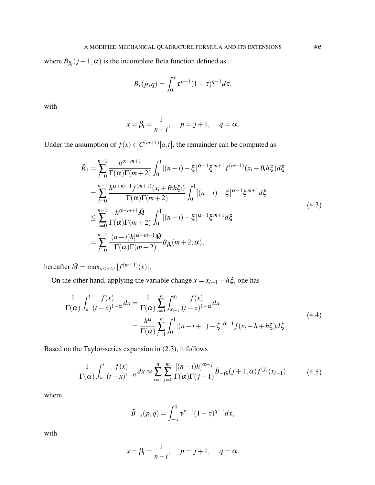where  $B_{\beta_i}(j+1,\alpha)$  is the incomplete Beta function defined as

$$
B_x(p,q) = \int_0^x \tau^{p-1} (1-\tau)^{q-1} d\tau,
$$

with

$$
x = \beta_i = \frac{1}{n - i}, \quad p = j + 1, \quad q = \alpha.
$$

Under the assumption of  $f(x) \in C^{(m+1)}[a,t]$ , the remainder can be computed as

$$
\tilde{R}_{1} = \sum_{i=0}^{n-1} \frac{h^{\alpha+m+1}}{\Gamma(\alpha)\Gamma(m+2)} \int_{0}^{1} [(n-i) - \xi]^{\alpha-1} \xi^{m+1} f^{(m+1)}(x_{i} + \theta_{i}h\xi) d\xi
$$
\n
$$
= \sum_{i=0}^{n-1} \frac{h^{\alpha+m+1} f^{(m+1)}(x_{i} + \theta_{i}h\xi_{i})}{\Gamma(\alpha)\Gamma(m+2)} \int_{0}^{1} [(n-i) - \xi]^{\alpha-1} \xi^{m+1} d\xi
$$
\n
$$
\leq \sum_{i=0}^{n-1} \frac{h^{\alpha+m+1} \hat{M}}{\Gamma(\alpha)\Gamma(m+2)} \int_{0}^{1} [(n-i) - \xi]^{\alpha-1} \xi^{m+1} d\xi
$$
\n
$$
= \sum_{i=0}^{n-1} \frac{[(n-i)h]^{\alpha+m+1} \hat{M}}{\Gamma(\alpha)\Gamma(m+2)} B_{\beta_{i}}(m+2, \alpha),
$$
\n(4.3)

hereafter  $\hat{M} = \max_{a \le x \le t} |f^{(m+1)}(x)|$ .

On the other hand, applying the variable change  $x = x_{i+1} - h\xi$ , one has

$$
\frac{1}{\Gamma(\alpha)} \int_{a}^{t} \frac{f(x)}{(t-x)^{1-\alpha}} dx = \frac{1}{\Gamma(\alpha)} \sum_{i=1}^{n} \int_{x_{i-1}}^{x_i} \frac{f(x)}{(t-x)^{1-\alpha}} dx
$$
\n
$$
= \frac{h^{\alpha}}{\Gamma(\alpha)} \sum_{i=1}^{n} \int_{0}^{1} [(n-i+1) - \xi]^{\alpha-1} f(x_i - h + h\xi) d\xi.
$$
\n(4.4)

Based on the Taylor-series expansion in (2.3), it follows

$$
\frac{1}{\Gamma(\alpha)} \int_a^t \frac{f(x)}{(t-x)^{1-\alpha}} dx \approx \sum_{i=1}^n \sum_{j=0}^m \frac{\left[ (n-i)h \right]^{\alpha+j}}{\Gamma(\alpha)\Gamma(j+1)} \tilde{B}_{-\beta_i}(j+1,\alpha) f^{(j)}(x_{i+1}). \tag{4.5}
$$

where

$$
\tilde{B}_{-x}(p,q) = \int_{-x}^{0} \tau^{p-1} (1-\tau)^{q-1} d\tau,
$$

with

$$
x = \beta_i = \frac{1}{n - i}, \quad p = j + 1, \quad q = \alpha.
$$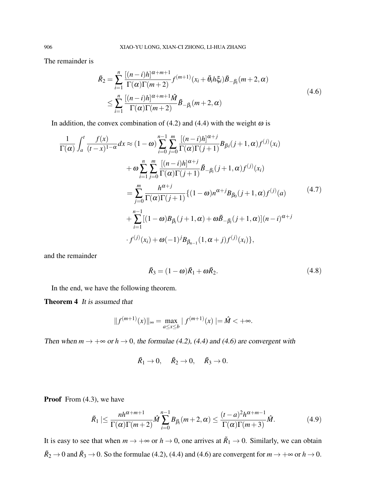The remainder is

$$
\tilde{R}_2 = \sum_{i=1}^n \frac{\left[ (n-i)h \right]^{\alpha+m+1}}{\Gamma(\alpha)\Gamma(m+2)} f^{(m+1)}(x_i + \bar{\theta}_i h \xi_i) \tilde{B}_{-\beta_i}(m+2, \alpha)
$$
\n
$$
\leq \sum_{i=1}^n \frac{\left[ (n-i)h \right]^{\alpha+m+1} \hat{M}}{\Gamma(\alpha)\Gamma(m+2)} \tilde{B}_{-\beta_i}(m+2, \alpha) \tag{4.6}
$$

In addition, the convex combination of (4.2) and (4.4) with the weight  $\omega$  is

$$
\frac{1}{\Gamma(\alpha)} \int_{a}^{t} \frac{f(x)}{(t-x)^{1-\alpha}} dx \approx (1-\omega) \sum_{i=0}^{n-1} \sum_{j=0}^{m} \frac{[(n-i)h]^{\alpha+j}}{\Gamma(\alpha)\Gamma(j+1)} B_{\beta i}(j+1,\alpha) f^{(j)}(x_{i}) \n+ \omega \sum_{i=1}^{n} \sum_{j=0}^{m} \frac{[(n-i)h]^{\alpha+j}}{\Gamma(\alpha)\Gamma(j+1)} \tilde{B}_{-\beta_{i}}(j+1,\alpha) f^{(j)}(x_{i}) \n= \sum_{j=0}^{m} \frac{h^{\alpha+j}}{\Gamma(\alpha)\Gamma(j+1)} \{ (1-\omega)n^{\alpha+j} B_{\beta_{0}}(j+1,\alpha) f^{(j)}(a) \n+ \sum_{i=1}^{n-1} [(1-\omega)B_{\beta_{i}}(j+1,\alpha) + \omega \tilde{B}_{-\beta_{i}}(j+1,\alpha)](n-i)^{\alpha+j} \n\cdot f^{(j)}(x_{i}) + \omega(-1)^{j} B_{\beta_{n-1}}(1,\alpha+j) f^{(j)}(x_{i}) \},
$$
\n
$$
(4.7)
$$

and the remainder

$$
\tilde{R}_3 = (1 - \omega)\tilde{R}_1 + \omega\tilde{R}_2. \tag{4.8}
$$

In the end, we have the following theorem.

Theorem 4 It is assumed that

$$
||f^{(m+1)}(x)||_{\infty} = \max_{a \le x \le b} |f^{(m+1)}(x)| = \hat{M} < +\infty.
$$

Then when  $m \to +\infty$  or  $h \to 0$ , the formulae (4.2), (4.4) and (4.6) are convergent with

$$
\tilde{R}_1 \to 0, \quad \tilde{R}_2 \to 0, \quad \tilde{R}_3 \to 0.
$$

Proof From  $(4.3)$ , we have

$$
\tilde{R}_1 \leq \frac{nh^{\alpha+m+1}}{\Gamma(\alpha)\Gamma(m+2)} \hat{M} \sum_{i=0}^{n-1} B_{\beta_i}(m+2, \alpha) \leq \frac{(t-a)^2 h^{\alpha+m-1}}{\Gamma(\alpha)\Gamma(m+3)} \hat{M}.
$$
 (4.9)

It is easy to see that when  $m \to +\infty$  or  $h \to 0$ , one arrives at  $\tilde{R}_1 \to 0$ . Similarly, we can obtain  $\tilde{R}_2 \to 0$  and  $\tilde{R}_3 \to 0$ . So the formulae (4.2), (4.4) and (4.6) are convergent for  $m \to +\infty$  or  $h \to 0$ .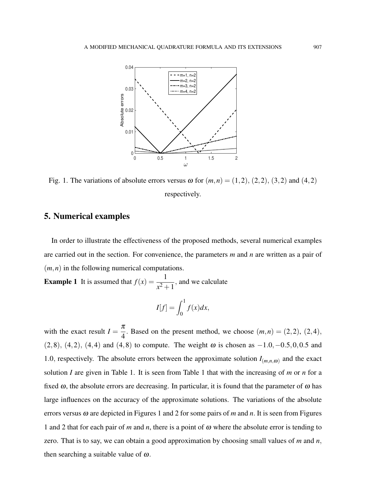

Fig. 1. The variations of absolute errors versus  $\omega$  for  $(m, n) = (1, 2), (2, 2), (3, 2)$  and  $(4, 2)$ respectively.

# 5. Numerical examples

In order to illustrate the effectiveness of the proposed methods, several numerical examples are carried out in the section. For convenience, the parameters *m* and *n* are written as a pair of (*m*,*n*) in the following numerical computations.

**Example 1** It is assumed that  $f(x) = \frac{1}{x^2 + 1}$ , and we calculate

$$
I[f] = \int_0^1 f(x) dx,
$$

with the exact result  $I = \frac{\pi}{4}$ 4 . Based on the present method, we choose  $(m,n) = (2,2), (2,4),$ (2,8), (4,2), (4,4) and (4,8) to compute. The weight  $\omega$  is chosen as  $-1.0, -0.5, 0, 0.5$  and 1.0, respectively. The absolute errors between the approximate solution  $I_{(m,n,\omega)}$  and the exact solution *I* are given in Table 1. It is seen from Table 1 that with the increasing of *m* or *n* for a fixed  $\omega$ , the absolute errors are decreasing. In particular, it is found that the parameter of  $\omega$  has large influences on the accuracy of the approximate solutions. The variations of the absolute errors versus ω are depicted in Figures 1 and 2 for some pairs of *m* and *n*. It is seen from Figures 1 and 2 that for each pair of *m* and *n*, there is a point of ω where the absolute error is tending to zero. That is to say, we can obtain a good approximation by choosing small values of *m* and *n*, then searching a suitable value of  $\omega$ .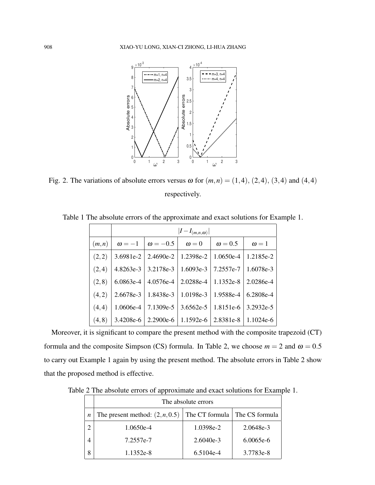

Fig. 2. The variations of absolute errors versus  $\omega$  for  $(m, n) = (1, 4), (2, 4), (3, 4)$  and  $(4, 4)$ respectively.

|        | $ I-I_{(m,n,\omega)} $ |                                                                     |              |                |                                                                            |  |
|--------|------------------------|---------------------------------------------------------------------|--------------|----------------|----------------------------------------------------------------------------|--|
| (m,n)  | $\omega = -1$          | $\omega = -0.5$                                                     | $\omega = 0$ | $\omega = 0.5$ | $\omega = 1$                                                               |  |
| (2,2)  |                        | $3.6981e-2$   $2.4690e-2$   $1.2398e-2$   $1.0650e-4$   $1.2185e-2$ |              |                |                                                                            |  |
| (2,4)  |                        | $4.8263e-3$   $3.2178e-3$   $1.6093e-3$   $7.2557e-7$   $1.6078e-3$ |              |                |                                                                            |  |
| (2, 8) | $6.0863e-4$            | $\mid$ 4.0576e-4 $\mid$ 2.0288e-4 $\mid$ 1.1352e-8 $\mid$ 2.0286e-4 |              |                |                                                                            |  |
| (4,2)  |                        | $2.6678e-3$   1.8438e-3   1.0198e-3   1.9588e-4   6.2808e-4         |              |                |                                                                            |  |
| (4,4)  | 1.0606e-4              |                                                                     |              |                | 7.1309e-5   3.6562e-5   1.8151e-6   3.2932e-5                              |  |
| (4, 8) | 3.4208e-6              |                                                                     |              |                | $\mid$ 2.2900e-6 $\mid$ 1.1592e-6 $\mid$ 2.8381e-8 $\mid$ 1.1024e-6 $\mid$ |  |

Table 1 The absolute errors of the approximate and exact solutions for Example 1.

Moreover, it is significant to compare the present method with the composite trapezoid (CT) formula and the composite Simpson (CS) formula. In Table 2, we choose  $m = 2$  and  $\omega = 0.5$ to carry out Example 1 again by using the present method. The absolute errors in Table 2 show that the proposed method is effective.

Table 2 The absolute errors of approximate and exact solutions for Example 1.

|                | The absolute errors               |                |                |  |  |  |
|----------------|-----------------------------------|----------------|----------------|--|--|--|
| n              | The present method: $(2, n, 0.5)$ | The CT formula | The CS formula |  |  |  |
| $\overline{c}$ | $1.0650e-4$                       | 1.0398e-2      | 2.0648e-3      |  |  |  |
| 4              | 7.2557e-7                         | $2.6040e-3$    | $6.0065e-6$    |  |  |  |
| 8              | 1.1352e-8                         | 6.5104e-4      | 3.7783e-8      |  |  |  |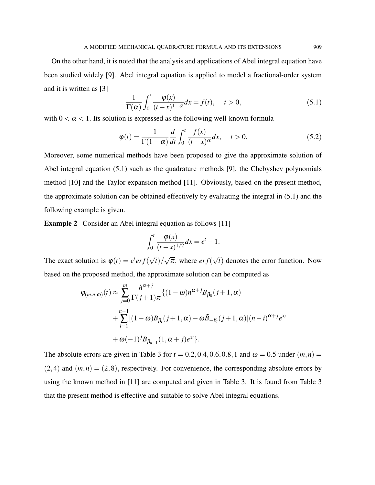On the other hand, it is noted that the analysis and applications of Abel integral equation have been studied widely [9]. Abel integral equation is applied to model a fractional-order system and it is written as [3]

$$
\frac{1}{\Gamma(\alpha)} \int_0^t \frac{\varphi(x)}{(t-x)^{1-\alpha}} dx = f(t), \quad t > 0,
$$
\n(5.1)

with  $0 < \alpha < 1$ . Its solution is expressed as the following well-known formula

$$
\varphi(t) = \frac{1}{\Gamma(1-\alpha)} \frac{d}{dt} \int_0^t \frac{f(x)}{(t-x)^{\alpha}} dx, \quad t > 0.
$$
\n(5.2)

Moreover, some numerical methods have been proposed to give the approximate solution of Abel integral equation (5.1) such as the quadrature methods [9], the Chebyshev polynomials method [10] and the Taylor expansion method [11]. Obviously, based on the present method, the approximate solution can be obtained effectively by evaluating the integral in (5.1) and the following example is given.

Example 2 Consider an Abel integral equation as follows [11]

$$
\int_0^t \frac{\varphi(x)}{(t-x)^{1/2}} dx = e^t - 1.
$$

The exact solution is  $\varphi(t) = e^t erf$ √ *t*)/ √  $\overline{\pi}$ , where *erf*( √ *t*) denotes the error function. Now based on the proposed method, the approximate solution can be computed as

$$
\varphi_{(m,n,\omega)}(t) \approx \sum_{j=0}^{m} \frac{h^{\alpha+j}}{\Gamma(j+1)\pi} \{ (1-\omega)n^{\alpha+j}B_{\beta_0}(j+1,\alpha) +\sum_{i=1}^{n-1} [(1-\omega)B_{\beta_i}(j+1,\alpha)+\omega\tilde{B}_{-\beta_i}(j+1,\alpha)](n-i)^{\alpha+j}e^{x_i} +\omega(-1)^jB_{\beta_{n-1}}(1,\alpha+j)e^{x_i} \}.
$$

The absolute errors are given in Table 3 for  $t = 0.2, 0.4, 0.6, 0.8, 1$  and  $\omega = 0.5$  under  $(m, n) =$  $(2,4)$  and  $(m,n) = (2,8)$ , respectively. For convenience, the corresponding absolute errors by using the known method in [11] are computed and given in Table 3. It is found from Table 3 that the present method is effective and suitable to solve Abel integral equations.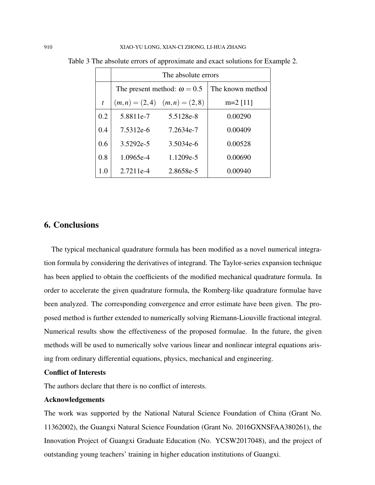|                  | The absolute errors                |                                 |            |  |  |  |
|------------------|------------------------------------|---------------------------------|------------|--|--|--|
|                  | The present method: $\omega = 0.5$ | The known method                |            |  |  |  |
| $\boldsymbol{t}$ |                                    | $(m,n) = (2,4)$ $(m,n) = (2,8)$ | $m=2$ [11] |  |  |  |
| 0.2              | 5.8811e-7                          | 5.5128e-8                       | 0.00290    |  |  |  |
| 0.4              | 7.5312e-6                          | 7.2634e-7                       | 0.00409    |  |  |  |
| 0.6              | 3.5292e-5                          | 3.5034e-6                       | 0.00528    |  |  |  |
| 0.8              | 1.0965e-4                          | 1.1209e-5                       | 0.00690    |  |  |  |
| 1.0              | 2.7211e-4                          | 2.8658e-5                       | 0.00940    |  |  |  |

Table 3 The absolute errors of approximate and exact solutions for Example 2.

## 6. Conclusions

The typical mechanical quadrature formula has been modified as a novel numerical integration formula by considering the derivatives of integrand. The Taylor-series expansion technique has been applied to obtain the coefficients of the modified mechanical quadrature formula. In order to accelerate the given quadrature formula, the Romberg-like quadrature formulae have been analyzed. The corresponding convergence and error estimate have been given. The proposed method is further extended to numerically solving Riemann-Liouville fractional integral. Numerical results show the effectiveness of the proposed formulae. In the future, the given methods will be used to numerically solve various linear and nonlinear integral equations arising from ordinary differential equations, physics, mechanical and engineering.

#### Conflict of Interests

The authors declare that there is no conflict of interests.

#### Acknowledgements

The work was supported by the National Natural Science Foundation of China (Grant No. 11362002), the Guangxi Natural Science Foundation (Grant No. 2016GXNSFAA380261), the Innovation Project of Guangxi Graduate Education (No. YCSW2017048), and the project of outstanding young teachers' training in higher education institutions of Guangxi.